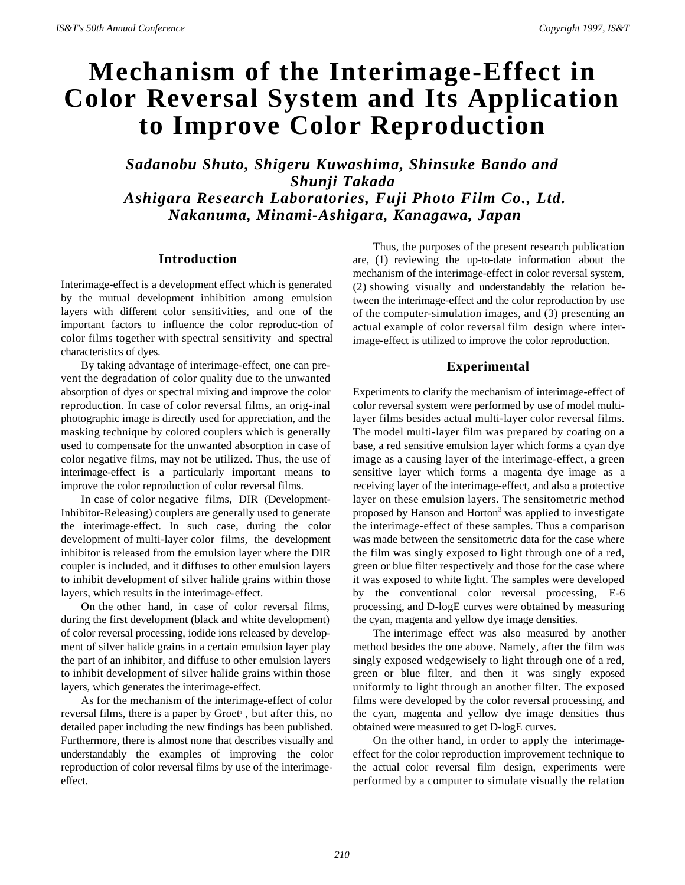# **Mechanism of the Interimage-Effect in Color Reversal System and Its Application to Improve Color Reproduction**

*Sadanobu Shuto, Shigeru Kuwashima, Shinsuke Bando and Shunji Takada Ashigara Research Laboratories, Fuji Photo Film Co., Ltd. Nakanuma, Minami-Ashigara, Kanagawa, Japan*

### **Introduction**

Interimage-effect is a development effect which is generated by the mutual development inhibition among emulsion layers with different color sensitivities, and one of the important factors to influence the color reproduc-tion of color films together with spectral sensitivity and spectral characteristics of dyes.

By taking advantage of interimage-effect, one can prevent the degradation of color quality due to the unwanted absorption of dyes or spectral mixing and improve the color reproduction. In case of color reversal films, an orig-inal photographic image is directly used for appreciation, and the masking technique by colored couplers which is generally used to compensate for the unwanted absorption in case of color negative films, may not be utilized. Thus, the use of interimage-effect is a particularly important means to improve the color reproduction of color reversal films.

In case of color negative films, DIR (Development-Inhibitor-Releasing) couplers are generally used to generate the interimage-effect. In such case, during the color development of multi-layer color films, the development inhibitor is released from the emulsion layer where the DIR coupler is included, and it diffuses to other emulsion layers to inhibit development of silver halide grains within those layers, which results in the interimage-effect.

On the other hand, in case of color reversal films, during the first development (black and white development) of color reversal processing, iodide ions released by development of silver halide grains in a certain emulsion layer play the part of an inhibitor, and diffuse to other emulsion layers to inhibit development of silver halide grains within those layers, which generates the interimage-effect.

As for the mechanism of the interimage-effect of color reversal films, there is a paper by Groet', but after this, no detailed paper including the new findings has been published. Furthermore, there is almost none that describes visually and understandably the examples of improving the color reproduction of color reversal films by use of the interimageeffect.

Thus, the purposes of the present research publication are, (1) reviewing the up-to-date information about the mechanism of the interimage-effect in color reversal system, (2) showing visually and understandably the relation between the interimage-effect and the color reproduction by use of the computer-simulation images, and (3) presenting an actual example of color reversal film design where interimage-effect is utilized to improve the color reproduction.

# **Experimental**

Experiments to clarify the mechanism of interimage-effect of color reversal system were performed by use of model multilayer films besides actual multi-layer color reversal films. The model multi-layer film was prepared by coating on a base, a red sensitive emulsion layer which forms a cyan dye image as a causing layer of the interimage-effect, a green sensitive layer which forms a magenta dye image as a receiving layer of the interimage-effect, and also a protective layer on these emulsion layers. The sensitometric method proposed by Hanson and Horton<sup>3</sup> was applied to investigate the interimage-effect of these samples. Thus a comparison was made between the sensitometric data for the case where the film was singly exposed to light through one of a red, green or blue filter respectively and those for the case where it was exposed to white light. The samples were developed by the conventional color reversal processing, E-6 processing, and D-logE curves were obtained by measuring the cyan, magenta and yellow dye image densities.

The interimage effect was also measured by another method besides the one above. Namely, after the film was singly exposed wedgewisely to light through one of a red, green or blue filter, and then it was singly exposed uniformly to light through an another filter. The exposed films were developed by the color reversal processing, and the cyan, magenta and yellow dye image densities thus obtained were measured to get D-logE curves.

On the other hand, in order to apply the interimageeffect for the color reproduction improvement technique to the actual color reversal film design, experiments were performed by a computer to simulate visually the relation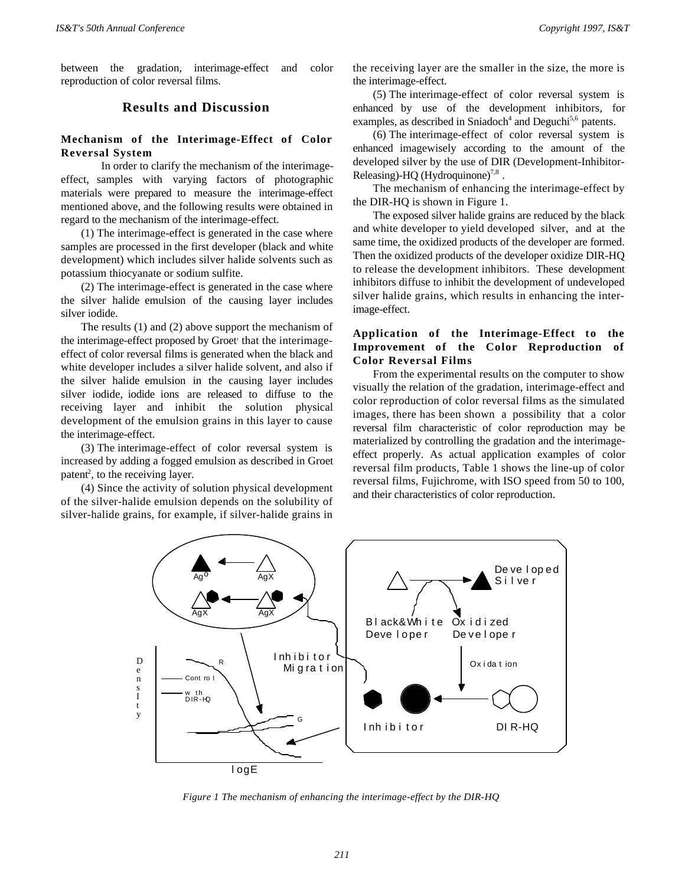between the gradation, interimage-effect and color reproduction of color reversal films.

# **Results and Discussion**

### **Mechanism of the Interimage-Effect of Color Reversal System**

In order to clarify the mechanism of the interimageeffect, samples with varying factors of photographic materials were prepared to measure the interimage-effect mentioned above, and the following results were obtained in regard to the mechanism of the interimage-effect.

(1) The interimage-effect is generated in the case where samples are processed in the first developer (black and white development) which includes silver halide solvents such as potassium thiocyanate or sodium sulfite.

(2) The interimage-effect is generated in the case where the silver halide emulsion of the causing layer includes silver iodide.

The results (1) and (2) above support the mechanism of the interimage-effect proposed by Groet<sup>1</sup> that the interimageeffect of color reversal films is generated when the black and white developer includes a silver halide solvent, and also if the silver halide emulsion in the causing layer includes silver iodide, iodide ions are released to diffuse to the receiving layer and inhibit the solution physical development of the emulsion grains in this layer to cause the interimage-effect.

(3) The interimage-effect of color reversal system is increased by adding a fogged emulsion as described in Groet patent<sup>2</sup>, to the receiving layer.

(4) Since the activity of solution physical development of the silver-halide emulsion depends on the solubility of silver-halide grains, for example, if silver-halide grains in

the receiving layer are the smaller in the size, the more is the interimage-effect.

(5) The interimage-effect of color reversal system is enhanced by use of the development inhibitors, for examples, as described in Sniadoch<sup>4</sup> and Deguchi<sup>5,6</sup> patents.

(6) The interimage-effect of color reversal system is enhanced imagewisely according to the amount of the developed silver by the use of DIR (Development-Inhibitor-Releasing)-HQ (Hydroquinone) $^{7,8}$ .

The mechanism of enhancing the interimage-effect by the DIR-HQ is shown in Figure 1.

The exposed silver halide grains are reduced by the black and white developer to yield developed silver, and at the same time, the oxidized products of the developer are formed. Then the oxidized products of the developer oxidize DIR-HQ to release the development inhibitors. These development inhibitors diffuse to inhibit the development of undeveloped silver halide grains, which results in enhancing the interimage-effect.

# **Application of the Interimage-Effect to the Improvement of the Color Reproduction of Color Reversal Films**

From the experimental results on the computer to show visually the relation of the gradation, interimage-effect and color reproduction of color reversal films as the simulated images, there has been shown a possibility that a color reversal film characteristic of color reproduction may be materialized by controlling the gradation and the interimageeffect properly. As actual application examples of color reversal film products, Table 1 shows the line-up of color reversal films, Fujichrome, with ISO speed from 50 to 100, and their characteristics of color reproduction.



*Figure 1 The mechanism of enhancing the interimage-effect by the DIR-HQ*